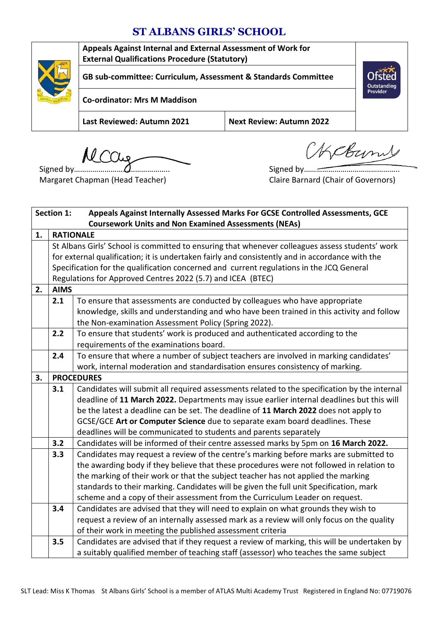## **ST ALBANS GIRLS' SCHOOL**



MCCur

Signed by……………………………………….. Margaret Chapman (Head Teacher)

Signed by……………………………………….. Claire Barnard (Chair of Governors)

OKCBurns

| <b>Section 1:</b><br>Appeals Against Internally Assessed Marks For GCSE Controlled Assessments, GCE |                                                                                                     |                                                                                          |  |  |  |  |  |
|-----------------------------------------------------------------------------------------------------|-----------------------------------------------------------------------------------------------------|------------------------------------------------------------------------------------------|--|--|--|--|--|
|                                                                                                     | <b>Coursework Units and Non Examined Assessments (NEAs)</b>                                         |                                                                                          |  |  |  |  |  |
| 1.                                                                                                  | <b>RATIONALE</b>                                                                                    |                                                                                          |  |  |  |  |  |
|                                                                                                     | St Albans Girls' School is committed to ensuring that whenever colleagues assess students' work     |                                                                                          |  |  |  |  |  |
|                                                                                                     | for external qualification; it is undertaken fairly and consistently and in accordance with the     |                                                                                          |  |  |  |  |  |
|                                                                                                     | Specification for the qualification concerned and current regulations in the JCQ General            |                                                                                          |  |  |  |  |  |
|                                                                                                     | Regulations for Approved Centres 2022 (5.7) and ICEA (BTEC)                                         |                                                                                          |  |  |  |  |  |
| 2.                                                                                                  | <b>AIMS</b>                                                                                         |                                                                                          |  |  |  |  |  |
|                                                                                                     | 2.1                                                                                                 | To ensure that assessments are conducted by colleagues who have appropriate              |  |  |  |  |  |
|                                                                                                     | knowledge, skills and understanding and who have been trained in this activity and follow           |                                                                                          |  |  |  |  |  |
|                                                                                                     | the Non-examination Assessment Policy (Spring 2022).                                                |                                                                                          |  |  |  |  |  |
|                                                                                                     | To ensure that students' work is produced and authenticated according to the<br>2.2                 |                                                                                          |  |  |  |  |  |
|                                                                                                     | requirements of the examinations board.                                                             |                                                                                          |  |  |  |  |  |
|                                                                                                     | 2.4<br>To ensure that where a number of subject teachers are involved in marking candidates'        |                                                                                          |  |  |  |  |  |
|                                                                                                     |                                                                                                     | work, internal moderation and standardisation ensures consistency of marking.            |  |  |  |  |  |
| 3.                                                                                                  |                                                                                                     | <b>PROCEDURES</b>                                                                        |  |  |  |  |  |
|                                                                                                     | Candidates will submit all required assessments related to the specification by the internal<br>3.1 |                                                                                          |  |  |  |  |  |
|                                                                                                     | deadline of 11 March 2022. Departments may issue earlier internal deadlines but this will           |                                                                                          |  |  |  |  |  |
|                                                                                                     |                                                                                                     | be the latest a deadline can be set. The deadline of 11 March 2022 does not apply to     |  |  |  |  |  |
|                                                                                                     |                                                                                                     | GCSE/GCE Art or Computer Science due to separate exam board deadlines. These             |  |  |  |  |  |
|                                                                                                     | deadlines will be communicated to students and parents separately                                   |                                                                                          |  |  |  |  |  |
|                                                                                                     | 3.2<br>Candidates will be informed of their centre assessed marks by 5pm on 16 March 2022.          |                                                                                          |  |  |  |  |  |
|                                                                                                     | Candidates may request a review of the centre's marking before marks are submitted to<br>3.3        |                                                                                          |  |  |  |  |  |
|                                                                                                     |                                                                                                     | the awarding body if they believe that these procedures were not followed in relation to |  |  |  |  |  |
|                                                                                                     |                                                                                                     | the marking of their work or that the subject teacher has not applied the marking        |  |  |  |  |  |
|                                                                                                     |                                                                                                     | standards to their marking. Candidates will be given the full unit Specification, mark   |  |  |  |  |  |
|                                                                                                     | scheme and a copy of their assessment from the Curriculum Leader on request.                        |                                                                                          |  |  |  |  |  |
|                                                                                                     | 3.4                                                                                                 | Candidates are advised that they will need to explain on what grounds they wish to       |  |  |  |  |  |
|                                                                                                     | request a review of an internally assessed mark as a review will only focus on the quality          |                                                                                          |  |  |  |  |  |
|                                                                                                     |                                                                                                     | of their work in meeting the published assessment criteria                               |  |  |  |  |  |
|                                                                                                     | Candidates are advised that if they request a review of marking, this will be undertaken by<br>3.5  |                                                                                          |  |  |  |  |  |
|                                                                                                     | a suitably qualified member of teaching staff (assessor) who teaches the same subject               |                                                                                          |  |  |  |  |  |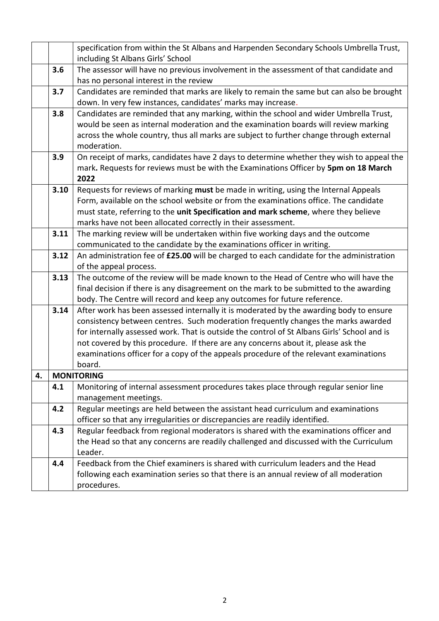|                                                                                       |                                                                                                  | specification from within the St Albans and Harpenden Secondary Schools Umbrella Trust,<br>including St Albans Girls' School     |  |  |  |  |  |  |
|---------------------------------------------------------------------------------------|--------------------------------------------------------------------------------------------------|----------------------------------------------------------------------------------------------------------------------------------|--|--|--|--|--|--|
|                                                                                       | 3.6                                                                                              | The assessor will have no previous involvement in the assessment of that candidate and<br>has no personal interest in the review |  |  |  |  |  |  |
|                                                                                       | 3.7                                                                                              | Candidates are reminded that marks are likely to remain the same but can also be brought                                         |  |  |  |  |  |  |
|                                                                                       |                                                                                                  |                                                                                                                                  |  |  |  |  |  |  |
|                                                                                       |                                                                                                  | down. In very few instances, candidates' marks may increase.                                                                     |  |  |  |  |  |  |
|                                                                                       | 3.8<br>Candidates are reminded that any marking, within the school and wider Umbrella Trust,     |                                                                                                                                  |  |  |  |  |  |  |
|                                                                                       |                                                                                                  | would be seen as internal moderation and the examination boards will review marking                                              |  |  |  |  |  |  |
|                                                                                       |                                                                                                  | across the whole country, thus all marks are subject to further change through external<br>moderation.                           |  |  |  |  |  |  |
|                                                                                       | 3.9                                                                                              | On receipt of marks, candidates have 2 days to determine whether they wish to appeal the                                         |  |  |  |  |  |  |
|                                                                                       |                                                                                                  | mark. Requests for reviews must be with the Examinations Officer by 5pm on 18 March                                              |  |  |  |  |  |  |
|                                                                                       | 2022                                                                                             |                                                                                                                                  |  |  |  |  |  |  |
|                                                                                       | 3.10                                                                                             | Requests for reviews of marking must be made in writing, using the Internal Appeals                                              |  |  |  |  |  |  |
|                                                                                       |                                                                                                  | Form, available on the school website or from the examinations office. The candidate                                             |  |  |  |  |  |  |
|                                                                                       |                                                                                                  | must state, referring to the unit Specification and mark scheme, where they believe                                              |  |  |  |  |  |  |
|                                                                                       |                                                                                                  | marks have not been allocated correctly in their assessment.                                                                     |  |  |  |  |  |  |
|                                                                                       | 3.11<br>The marking review will be undertaken within five working days and the outcome           |                                                                                                                                  |  |  |  |  |  |  |
|                                                                                       | communicated to the candidate by the examinations officer in writing.                            |                                                                                                                                  |  |  |  |  |  |  |
|                                                                                       | 3.12<br>An administration fee of £25.00 will be charged to each candidate for the administration |                                                                                                                                  |  |  |  |  |  |  |
|                                                                                       |                                                                                                  | of the appeal process.                                                                                                           |  |  |  |  |  |  |
|                                                                                       | 3.13                                                                                             | The outcome of the review will be made known to the Head of Centre who will have the                                             |  |  |  |  |  |  |
|                                                                                       |                                                                                                  | final decision if there is any disagreement on the mark to be submitted to the awarding                                          |  |  |  |  |  |  |
|                                                                                       |                                                                                                  | body. The Centre will record and keep any outcomes for future reference.                                                         |  |  |  |  |  |  |
|                                                                                       | 3.14                                                                                             | After work has been assessed internally it is moderated by the awarding body to ensure                                           |  |  |  |  |  |  |
|                                                                                       |                                                                                                  | consistency between centres. Such moderation frequently changes the marks awarded                                                |  |  |  |  |  |  |
|                                                                                       |                                                                                                  | for internally assessed work. That is outside the control of St Albans Girls' School and is                                      |  |  |  |  |  |  |
|                                                                                       |                                                                                                  | not covered by this procedure. If there are any concerns about it, please ask the                                                |  |  |  |  |  |  |
|                                                                                       |                                                                                                  | examinations officer for a copy of the appeals procedure of the relevant examinations                                            |  |  |  |  |  |  |
|                                                                                       |                                                                                                  | board.                                                                                                                           |  |  |  |  |  |  |
| 4.                                                                                    |                                                                                                  | <b>MONITORING</b>                                                                                                                |  |  |  |  |  |  |
|                                                                                       | 4.1                                                                                              | Monitoring of internal assessment procedures takes place through regular senior line                                             |  |  |  |  |  |  |
|                                                                                       | management meetings.                                                                             |                                                                                                                                  |  |  |  |  |  |  |
|                                                                                       | 4.2                                                                                              | Regular meetings are held between the assistant head curriculum and examinations                                                 |  |  |  |  |  |  |
|                                                                                       | officer so that any irregularities or discrepancies are readily identified.                      |                                                                                                                                  |  |  |  |  |  |  |
|                                                                                       | 4.3                                                                                              | Regular feedback from regional moderators is shared with the examinations officer and                                            |  |  |  |  |  |  |
|                                                                                       |                                                                                                  | the Head so that any concerns are readily challenged and discussed with the Curriculum                                           |  |  |  |  |  |  |
|                                                                                       |                                                                                                  | Leader.                                                                                                                          |  |  |  |  |  |  |
|                                                                                       | 4.4                                                                                              | Feedback from the Chief examiners is shared with curriculum leaders and the Head                                                 |  |  |  |  |  |  |
| following each examination series so that there is an annual review of all moderation |                                                                                                  |                                                                                                                                  |  |  |  |  |  |  |
|                                                                                       |                                                                                                  | procedures.                                                                                                                      |  |  |  |  |  |  |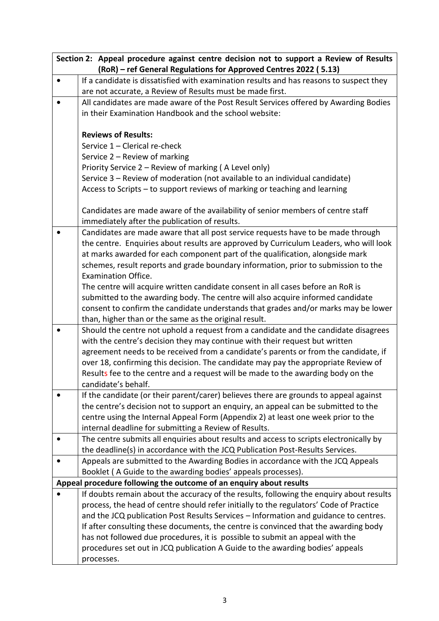| Section 2: Appeal procedure against centre decision not to support a Review of Results |                                                                                         |  |  |  |  |  |
|----------------------------------------------------------------------------------------|-----------------------------------------------------------------------------------------|--|--|--|--|--|
| (RoR) - ref General Regulations for Approved Centres 2022 (5.13)                       |                                                                                         |  |  |  |  |  |
|                                                                                        | If a candidate is dissatisfied with examination results and has reasons to suspect they |  |  |  |  |  |
|                                                                                        | are not accurate, a Review of Results must be made first.                               |  |  |  |  |  |
|                                                                                        | All candidates are made aware of the Post Result Services offered by Awarding Bodies    |  |  |  |  |  |
|                                                                                        | in their Examination Handbook and the school website:                                   |  |  |  |  |  |
|                                                                                        |                                                                                         |  |  |  |  |  |
|                                                                                        | <b>Reviews of Results:</b>                                                              |  |  |  |  |  |
|                                                                                        | Service 1 - Clerical re-check                                                           |  |  |  |  |  |
|                                                                                        | Service 2 - Review of marking                                                           |  |  |  |  |  |
|                                                                                        | Priority Service 2 - Review of marking (A Level only)                                   |  |  |  |  |  |
|                                                                                        | Service 3 - Review of moderation (not available to an individual candidate)             |  |  |  |  |  |
|                                                                                        | Access to Scripts - to support reviews of marking or teaching and learning              |  |  |  |  |  |
|                                                                                        |                                                                                         |  |  |  |  |  |
|                                                                                        | Candidates are made aware of the availability of senior members of centre staff         |  |  |  |  |  |
|                                                                                        | immediately after the publication of results.                                           |  |  |  |  |  |
|                                                                                        | Candidates are made aware that all post service requests have to be made through        |  |  |  |  |  |
|                                                                                        | the centre. Enquiries about results are approved by Curriculum Leaders, who will look   |  |  |  |  |  |
|                                                                                        | at marks awarded for each component part of the qualification, alongside mark           |  |  |  |  |  |
|                                                                                        | schemes, result reports and grade boundary information, prior to submission to the      |  |  |  |  |  |
|                                                                                        | <b>Examination Office.</b>                                                              |  |  |  |  |  |
|                                                                                        | The centre will acquire written candidate consent in all cases before an RoR is         |  |  |  |  |  |
|                                                                                        | submitted to the awarding body. The centre will also acquire informed candidate         |  |  |  |  |  |
|                                                                                        | consent to confirm the candidate understands that grades and/or marks may be lower      |  |  |  |  |  |
|                                                                                        | than, higher than or the same as the original result.                                   |  |  |  |  |  |
|                                                                                        | Should the centre not uphold a request from a candidate and the candidate disagrees     |  |  |  |  |  |
|                                                                                        | with the centre's decision they may continue with their request but written             |  |  |  |  |  |
|                                                                                        | agreement needs to be received from a candidate's parents or from the candidate, if     |  |  |  |  |  |
|                                                                                        | over 18, confirming this decision. The candidate may pay the appropriate Review of      |  |  |  |  |  |
|                                                                                        | Results fee to the centre and a request will be made to the awarding body on the        |  |  |  |  |  |
|                                                                                        | candidate's behalf.                                                                     |  |  |  |  |  |
|                                                                                        | If the candidate (or their parent/carer) believes there are grounds to appeal against   |  |  |  |  |  |
|                                                                                        | the centre's decision not to support an enquiry, an appeal can be submitted to the      |  |  |  |  |  |
|                                                                                        | centre using the Internal Appeal Form (Appendix 2) at least one week prior to the       |  |  |  |  |  |
|                                                                                        | internal deadline for submitting a Review of Results.                                   |  |  |  |  |  |
|                                                                                        | The centre submits all enquiries about results and access to scripts electronically by  |  |  |  |  |  |
|                                                                                        | the deadline(s) in accordance with the JCQ Publication Post-Results Services.           |  |  |  |  |  |
|                                                                                        | Appeals are submitted to the Awarding Bodies in accordance with the JCQ Appeals         |  |  |  |  |  |
|                                                                                        | Booklet (A Guide to the awarding bodies' appeals processes).                            |  |  |  |  |  |
|                                                                                        | Appeal procedure following the outcome of an enquiry about results                      |  |  |  |  |  |
|                                                                                        | If doubts remain about the accuracy of the results, following the enquiry about results |  |  |  |  |  |
|                                                                                        | process, the head of centre should refer initially to the regulators' Code of Practice  |  |  |  |  |  |
|                                                                                        | and the JCQ publication Post Results Services - Information and guidance to centres.    |  |  |  |  |  |
|                                                                                        | If after consulting these documents, the centre is convinced that the awarding body     |  |  |  |  |  |
|                                                                                        | has not followed due procedures, it is possible to submit an appeal with the            |  |  |  |  |  |
|                                                                                        | procedures set out in JCQ publication A Guide to the awarding bodies' appeals           |  |  |  |  |  |
|                                                                                        | processes.                                                                              |  |  |  |  |  |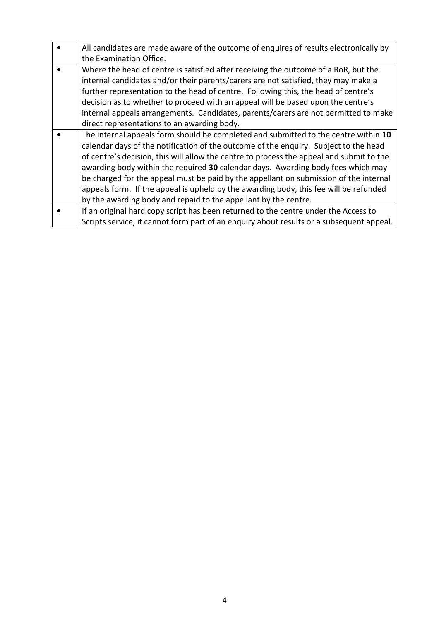| All candidates are made aware of the outcome of enquires of results electronically by                                                                                                                                                                                                                                                                                                                                                                                                                                                                                                                            |  |  |  |  |
|------------------------------------------------------------------------------------------------------------------------------------------------------------------------------------------------------------------------------------------------------------------------------------------------------------------------------------------------------------------------------------------------------------------------------------------------------------------------------------------------------------------------------------------------------------------------------------------------------------------|--|--|--|--|
| the Examination Office.                                                                                                                                                                                                                                                                                                                                                                                                                                                                                                                                                                                          |  |  |  |  |
| Where the head of centre is satisfied after receiving the outcome of a RoR, but the<br>internal candidates and/or their parents/carers are not satisfied, they may make a<br>further representation to the head of centre. Following this, the head of centre's<br>decision as to whether to proceed with an appeal will be based upon the centre's<br>internal appeals arrangements. Candidates, parents/carers are not permitted to make<br>direct representations to an awarding body.                                                                                                                        |  |  |  |  |
| The internal appeals form should be completed and submitted to the centre within 10<br>calendar days of the notification of the outcome of the enquiry. Subject to the head<br>of centre's decision, this will allow the centre to process the appeal and submit to the<br>awarding body within the required 30 calendar days. Awarding body fees which may<br>be charged for the appeal must be paid by the appellant on submission of the internal<br>appeals form. If the appeal is upheld by the awarding body, this fee will be refunded<br>by the awarding body and repaid to the appellant by the centre. |  |  |  |  |
| If an original hard copy script has been returned to the centre under the Access to<br>Scripts service, it cannot form part of an enquiry about results or a subsequent appeal.                                                                                                                                                                                                                                                                                                                                                                                                                                  |  |  |  |  |
|                                                                                                                                                                                                                                                                                                                                                                                                                                                                                                                                                                                                                  |  |  |  |  |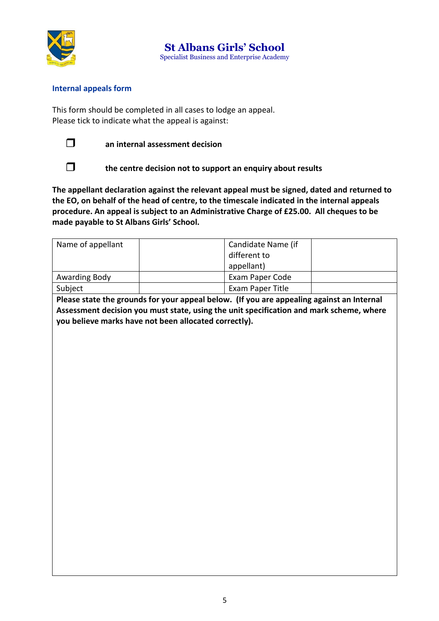

**St Albans Girls' School** Specialist Business and Enterprise Academy

## **Internal appeals form**

This form should be completed in all cases to lodge an appeal. Please tick to indicate what the appeal is against:



**an internal assessment decision** 



**the centre decision not to support an enquiry about results**

**The appellant declaration against the relevant appeal must be signed, dated and returned to the EO, on behalf of the head of centre, to the timescale indicated in the internal appeals procedure. An appeal is subject to an Administrative Charge of £25.00. All cheques to be made payable to St Albans Girls' School.** 

| Name of appellant                                                                         | Candidate Name (if<br>different to<br>appellant) |  |  |  |
|-------------------------------------------------------------------------------------------|--------------------------------------------------|--|--|--|
| Awarding Body                                                                             | Exam Paper Code                                  |  |  |  |
| Subject                                                                                   | Exam Paper Title                                 |  |  |  |
| Please state the grounds for your appeal below. (If you are appealing against an Internal |                                                  |  |  |  |

**Please state the grounds for your appeal below. (If you are appealing against an Internal Assessment decision you must state, using the unit specification and mark scheme, where you believe marks have not been allocated correctly).**